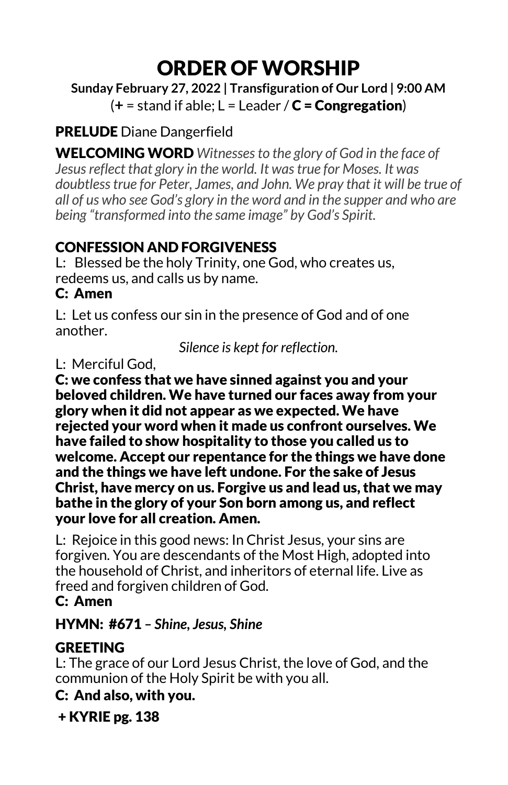# ORDER OFWORSHIP

**Sunday February 27, 2022 | Transfiguration of Our Lord | 9:00 AM**  $(+ = stand if able; L = Leader / C = Congregation)$ 

## PRELUDE Diane Dangerfield

WELCOMING WORD *Witnesses to the glory of God in the face of Jesus reflect that glory in the world. It was true for Moses. It was doubtless true for Peter, James, and John. We pray that it will be true of all of us who see God's glory in the word and in the supper and who are being "transformed into the same image" by God's Spirit.*

## CONFESSION AND FORGIVENESS

L: Blessed be the holy Trinity, one God, who creates us, redeems us, and calls us by name.

#### C: Amen

L: Let us confess our sin in the presence of God and of one another.

*Silence is kept for reflection.*

#### L: Merciful God,

 C: we confess that we have sinned against you and your beloved children. We have turned our faces away from your glory when it did not appear as we expected.We have rejected your word when it made us confront ourselves. We have failed to show hospitality to those you called us to welcome. Accept our repentance for the things we have done and the things we have left undone. For the sake of Jesus Christ, have mercy on us. Forgive us and lead us, that we may bathe in the glory of your Son born among us, and reflect your love for all creation. Amen.

L: Rejoice in this good news: In Christ Jesus, your sins are forgiven. You are descendants of the Most High, adopted into the household of Christ, and inheritors of eternal life. Live as freed and forgiven children of God.

#### C: Amen

## HYMN: #671 *– Shine, Jesus, Shine*

## **GREETING**

L: The grace of our Lord Jesus Christ, the love of God, and the communion of the Holy Spirit be with you all.

## C: And also, with you.

+ KYRIE pg. 138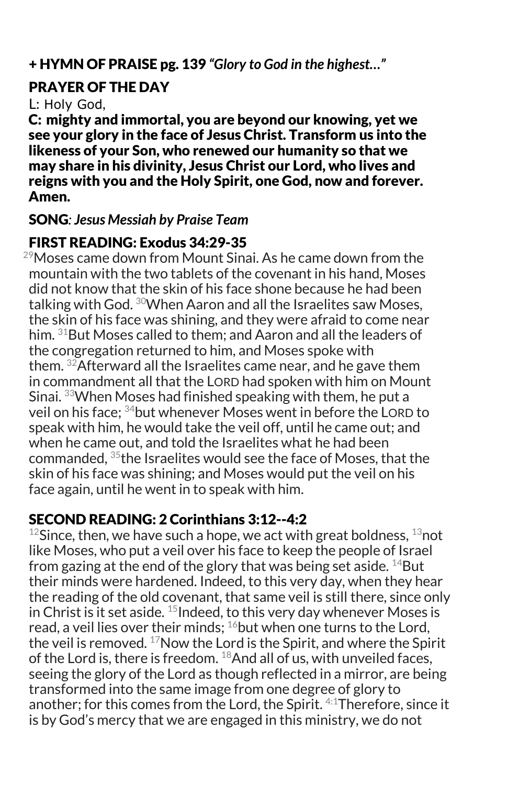#### + HYMN OF PRAISE pg. 139 *"Glory to God in the highest…"*

## PRAYER OF THE DAY

#### L: Holy God,

C: mighty and immortal, you are beyond our knowing, yet we see your glory in the face of Jesus Christ. Transform us into the likeness of your Son, who renewed our humanity so that we may share in his divinity, Jesus Christ our Lord, who lives and reigns with you and the Holy Spirit, one God, now and forever. Amen.

#### SONG*: Jesus Messiah by Praise Team*

#### FIRST READING: Exodus 34:29-35

 $^{29}$ Moses came down from Mount Sinai. As he came down from the mountain with the two tablets of the covenant in his hand, Moses did not know that the skin of his face shone because he had been talking with God. <sup>30</sup> When Aaron and all the Israelites saw Moses, the skin of his face was shining, and they were afraid to come near him. 31But Moses called to them; and Aaron and all the leaders of the congregation returned to him, and Moses spoke with them.  $32$ Afterward all the Israelites came near, and he gave them in commandment all that the LORD had spoken with him on Mount Sinai. 33When Moses had finished speaking with them, he put a veil on his face; <sup>34</sup>but whenever Moses went in before the LORD to speak with him, he would take the veil off, until he came out; and when he came out, and told the Israelites what he had been commanded, 35the Israelites would see the face of Moses, that the skin of his face was shining; and Moses would put the veil on his face again, until he went in to speak with him.

## SECOND READING: 2 Corinthians 3:12--4:2

 $12$ Since, then, we have such a hope, we act with great boldness,  $13$ not like Moses, who put a veil over his face to keep the people of Israel from gazing at the end of the glory that was being set aside.  $^{14}$ But their minds were hardened. Indeed, to this very day, when they hear the reading of the old covenant, that same veil is still there, since only in Christ is it set aside.  $^{15}$ Indeed, to this very day whenever Moses is read, a veil lies over their minds;  $16$  but when one turns to the Lord, the veil is removed.  $17$ Now the Lord is the Spirit, and where the Spirit of the Lord is, there is freedom.  $^{18}$ And all of us, with unveiled faces, seeing the glory of the Lord as though reflected in a mirror, are being transformed into the same image from one degree of glory to another; for this comes from the Lord, the Spirit. 4:1Therefore, since it is by God's mercy that we are engaged in this ministry, we do not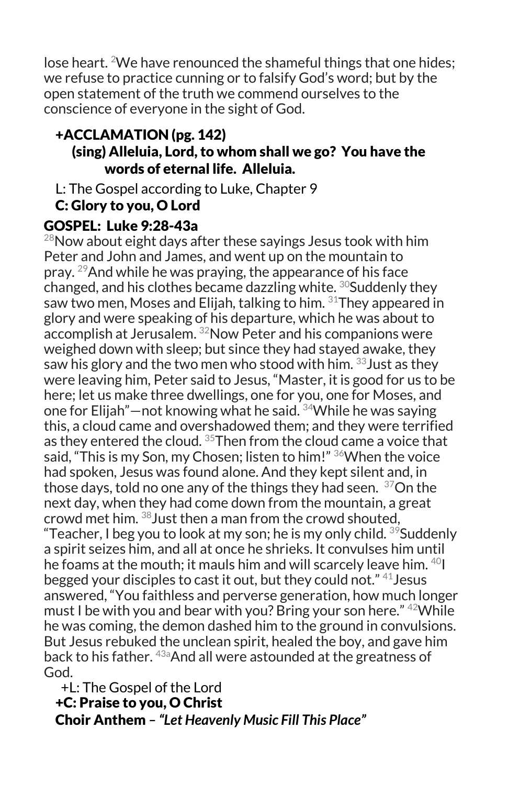lose heart. <sup>2</sup>We have renounced the shameful things that one hides: we refuse to practice cunning or to falsify God's word; but by the open statement of the truth we commend ourselves to the conscience of everyone in the sight of God.

## +ACCLAMATION (pg. 142) (sing) Alleluia, Lord, to whom shall we go? You have the words of eternal life. Alleluia.

L: The Gospel according to Luke, Chapter 9

## C: Glory to you, O Lord

## GOSPEL: Luke 9:28-43a

 $^{28}$ Now about eight days after these sayings Jesus took with him Peter and John and James, and went up on the mountain to pray. 29And while he was praying, the appearance of his face changed, and his clothes became dazzling white.  $30$ Suddenly they saw two men, Moses and Elijah, talking to him.  $31$ They appeared in glory and were speaking of his departure, which he was about to accomplish at Jerusalem. 32Now Peter and his companions were weighed down with sleep; but since they had stayed awake, they saw his glory and the two men who stood with him.  $33$  Just as they were leaving him, Peter said to Jesus, "Master, it is good for us to be here; let us make three dwellings, one for you, one for Moses, and one for Elijah"—not knowing what he said.  $34$ While he was saying this, a cloud came and overshadowed them; and they were terrified as they entered the cloud.  $35$ Then from the cloud came a voice that said. "This is my Son, my Chosen; listen to him!" <sup>36</sup> When the voice had spoken, Jesus was found alone. And they kept silent and, in those days, told no one any of the things they had seen.  $37$ On the next day, when they had come down from the mountain, a great crowd met him. 38Just then a man from the crowd shouted, "Teacher, I beg you to look at my son; he is my only child.  $39$ Suddenly a spirit seizes him, and all at once he shrieks. It convulses him until he foams at the mouth; it mauls him and will scarcely leave him.  $^{40}\mathrm{l}$ begged your disciples to cast it out, but they could not."  $41$  Jesus answered, "You faithless and perverse generation, how much longer must I be with you and bear with you? Bring your son here."  $42$  While he was coming, the demon dashed him to the ground in convulsions. But Jesus rebuked the unclean spirit, healed the boy, and gave him back to his father. <sup>43a</sup> And all were astounded at the greatness of God.

 +L: The Gospel of the Lord +C: Praise to you, O Christ Choir Anthem *– "Let Heavenly Music Fill This Place"*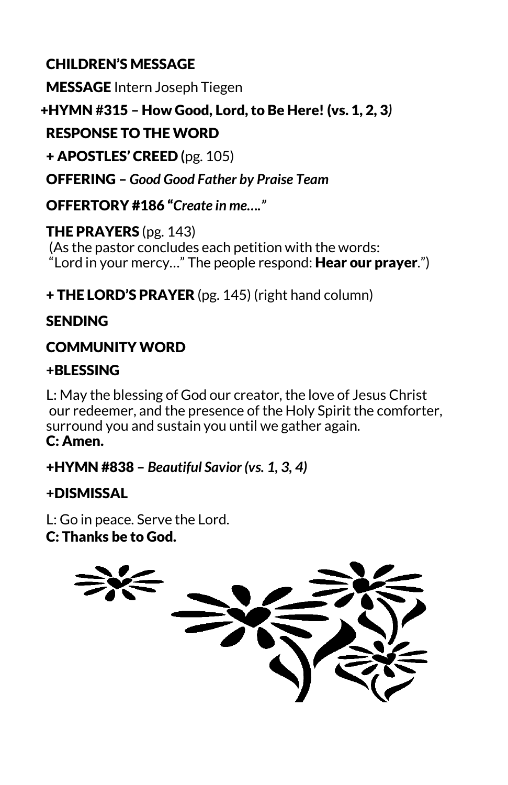## CHILDREN'S MESSAGE

MESSAGE Intern Joseph Tiegen

+HYMN **#**315 – How Good, Lord, to Be Here! (vs. 1, 2, 3*)*

## RESPONSE TO THE WORD

+ APOSTLES' CREED **(**pg. 105)

OFFERING – *Good Good Father by Praise Team*

OFFERTORY #186 "*Create in me…."*

THE PRAYERS (pg. 143) (As the pastor concludes each petition with the words: "Lord in your mercy..." The people respond: Hear our prayer.")

+ THE LORD'S PRAYER (pg. 145) (right hand column)

## **SENDING**

## COMMUNITY WORD

## **+**BLESSING

L: May the blessing of God our creator, the love of Jesus Christ our redeemer, and the presence of the Holy Spirit the comforter, surround you and sustain you until we gather again. C: Amen.

+HYMN #838 – *Beautiful Savior (vs. 1, 3, 4)*

## **+**DISMISSAL

L: Go in peace. Serve the Lord. C: Thanks be to God.